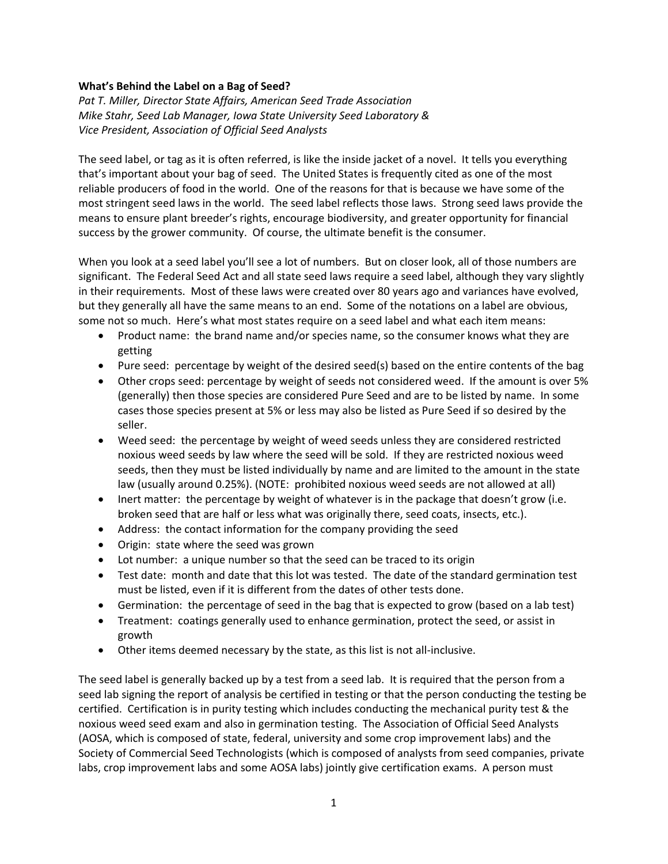## **What's Behind the Label on a Bag of Seed?**

*Pat T. Miller, Director State Affairs, American Seed Trade Association Mike Stahr, Seed Lab Manager, Iowa State University Seed Laboratory & Vice President, Association of Official Seed Analysts*

The seed label, or tag as it is often referred, is like the inside jacket of a novel. It tells you everything that's important about your bag of seed. The United States is frequently cited as one of the most reliable producers of food in the world. One of the reasons for that is because we have some of the most stringent seed laws in the world. The seed label reflects those laws. Strong seed laws provide the means to ensure plant breeder's rights, encourage biodiversity, and greater opportunity for financial success by the grower community. Of course, the ultimate benefit is the consumer.

When you look at a seed label you'll see a lot of numbers. But on closer look, all of those numbers are significant. The Federal Seed Act and all state seed laws require a seed label, although they vary slightly in their requirements. Most of these laws were created over 80 years ago and variances have evolved, but they generally all have the same means to an end. Some of the notations on a label are obvious, some not so much. Here's what most states require on a seed label and what each item means:

- Product name: the brand name and/or species name, so the consumer knows what they are getting
- Pure seed: percentage by weight of the desired seed(s) based on the entire contents of the bag
- Other crops seed: percentage by weight of seeds not considered weed. If the amount is over 5% (generally) then those species are considered Pure Seed and are to be listed by name. In some cases those species present at 5% or less may also be listed as Pure Seed if so desired by the seller.
- Weed seed: the percentage by weight of weed seeds unless they are considered restricted noxious weed seeds by law where the seed will be sold. If they are restricted noxious weed seeds, then they must be listed individually by name and are limited to the amount in the state law (usually around 0.25%). (NOTE: prohibited noxious weed seeds are not allowed at all)
- Inert matter: the percentage by weight of whatever is in the package that doesn't grow (i.e. broken seed that are half or less what was originally there, seed coats, insects, etc.).
- Address: the contact information for the company providing the seed
- Origin: state where the seed was grown
- Lot number: a unique number so that the seed can be traced to its origin
- Test date: month and date that this lot was tested. The date of the standard germination test must be listed, even if it is different from the dates of other tests done.
- Germination: the percentage of seed in the bag that is expected to grow (based on a lab test)
- Treatment: coatings generally used to enhance germination, protect the seed, or assist in growth
- Other items deemed necessary by the state, as this list is not all-inclusive.

The seed label is generally backed up by a test from a seed lab. It is required that the person from a seed lab signing the report of analysis be certified in testing or that the person conducting the testing be certified. Certification is in purity testing which includes conducting the mechanical purity test & the noxious weed seed exam and also in germination testing. The Association of Official Seed Analysts (AOSA, which is composed of state, federal, university and some crop improvement labs) and the Society of Commercial Seed Technologists (which is composed of analysts from seed companies, private labs, crop improvement labs and some AOSA labs) jointly give certification exams. A person must